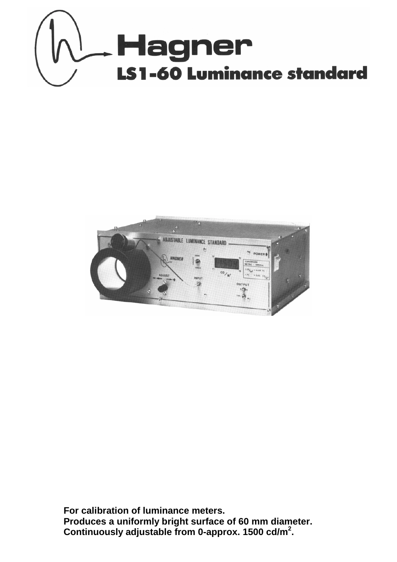



**For calibration of luminance meters. Produces a uniformly bright surface of 60 mm diameter. Continuously adjustable from 0-approx. 1500 cd/m2 .**